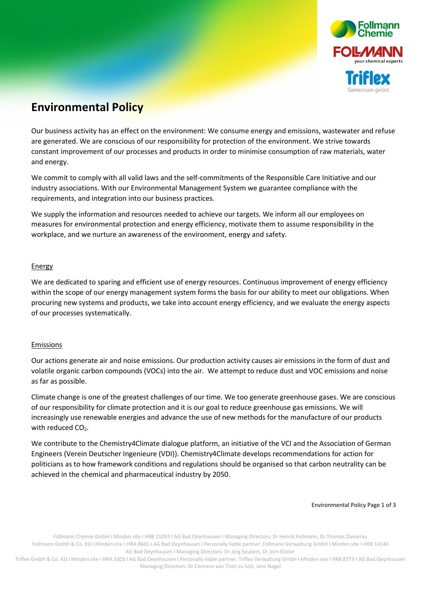

# Environmental Policy

Our business activity has an effect on the environment: We consume energy and emissions, wastewater and refuse are generated. We are conscious of our responsibility for protection of the environment. We strive towards constant improvement of our processes and products in order to minimise consumption of raw materials, water and energy.

We commit to comply with all valid laws and the self-commitments of the Responsible Care Initiative and our industry associations. With our Environmental Management System we guarantee compliance with the requirements, and integration into our business practices.

We supply the information and resources needed to achieve our targets. We inform all our employees on measures for environmental protection and energy efficiency, motivate them to assume responsibility in the workplace, and we nurture an awareness of the environment, energy and safety.

# **Energy**

We are dedicated to sparing and efficient use of energy resources. Continuous improvement of energy efficiency within the scope of our energy management system forms the basis for our ability to meet our obligations. When procuring new systems and products, we take into account energy efficiency, and we evaluate the energy aspects of our processes systematically.

# Emissions

Our actions generate air and noise emissions. Our production activity causes air emissions in the form of dust and volatile organic carbon compounds (VOCs) into the air. We attempt to reduce dust and VOC emissions and noise as far as possible.

Climate change is one of the greatest challenges of our time. We too generate greenhouse gases. We are conscious of our responsibility for climate protection and it is our goal to reduce greenhouse gas emissions. We will increasingly use renewable energies and advance the use of new methods for the manufacture of our products with reduced  $CO<sub>2</sub>$ .

We contribute to the Chemistry4Climate dialogue platform, an initiative of the VCI and the Association of German Engineers (Verein Deutscher Ingenieure (VDI)). Chemistry4Climate develops recommendations for action for politicians as to how framework conditions and regulations should be organised so that carbon neutrality can be achieved in the chemical and pharmaceutical industry by 2050.

## Environmental Policy Page 1 of 3

Follmann Chemie GmbH I Minden site I HRB 11053 I AG Bad Oeynhausen I Managing Directors: Dr Henrik Follmann, Dr Thomas Damerau Follmann GmbH & Co. KG I Minden site I HRA 8665 I AG Bad Oeynhausen I Personally liable partner: Follmann Verwaltung GmbH I Minden site I HRB 14140 AG Bad Oeynhausen I Managing Directors: Dr Jörg Seubert, Dr Jörn Küster

Triflex GmbH & Co. KG I Minden site I HRA 3303 I AG Bad Oeynhausen I Personally liable partner: Triflex Verwaltung GmbH I Minden site I HRB 8773 I AG Bad Oeynhausen Managing Directors: Dr Clemens von Trott zu Solz, Jens Nagel